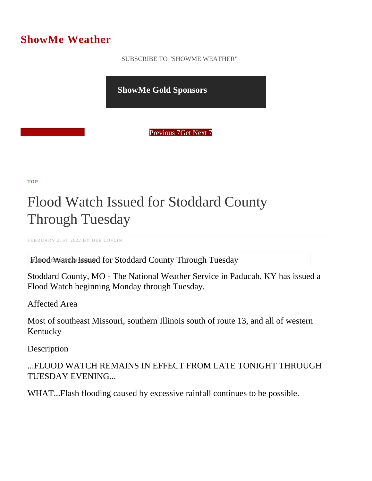## ShowMe Weather

 [SUBSCRIBE TO "SHOWME WEATHER"](/blog_rss.php)

ShowMe Gold Sponsors

Previous Get Next 7

[TOP](/var/www/showmetimes.com/root/javascript:blogScrollToTop()

## Flood Watch Issued for Stoddard County Through Tuesday

FEBRUARY 21ST 2022 BY DEE LOFLIN

Flood Watch Issued for Stoddard County Through Tuesday

Stoddard County, MO - The National Weather Service in Paducah, KY has issued a Flood Watch beginning Monday through Tuesday.

Affected Area

Most of southeast Missouri, southern Illinois south of route 13, and all of western **Kentucky** 

**Description** 

...FLOOD WATCH REMAINS IN EFFECT FROM LATE TONIGHT THROUGH TUESDAY EVENING...

WHAT...Flash flooding caused by excessive rainfall continues to be possible.